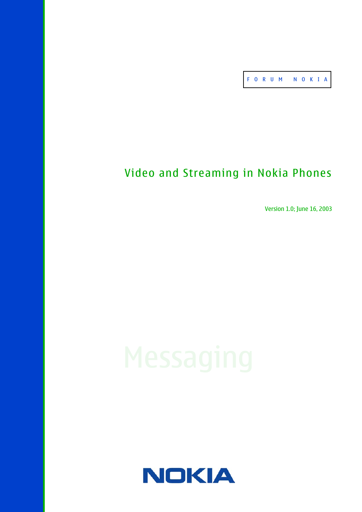FOR U M NO K I A

# Video and Streaming in Nokia Phones

Version 1.0; June 16, 2003

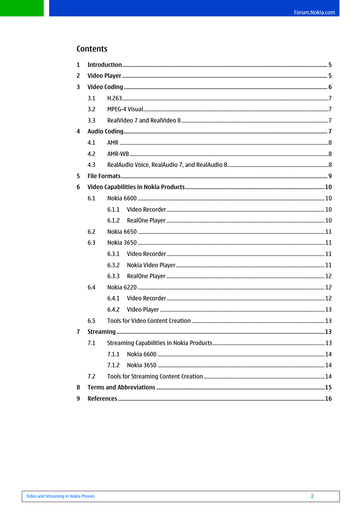# Contents

| $\mathbf{1}$   |     |       |  |  |  |  |
|----------------|-----|-------|--|--|--|--|
| $\overline{2}$ |     |       |  |  |  |  |
| 3              |     |       |  |  |  |  |
|                | 3.1 |       |  |  |  |  |
|                | 3.2 |       |  |  |  |  |
|                | 3.3 |       |  |  |  |  |
| $\overline{4}$ |     |       |  |  |  |  |
|                | 4.1 |       |  |  |  |  |
|                | 4.2 |       |  |  |  |  |
|                | 4.3 |       |  |  |  |  |
| 5              |     |       |  |  |  |  |
| 6              |     |       |  |  |  |  |
|                | 6.1 |       |  |  |  |  |
|                |     | 6.1.1 |  |  |  |  |
|                |     | 6.1.2 |  |  |  |  |
|                | 6.2 |       |  |  |  |  |
|                | 6.3 |       |  |  |  |  |
|                |     | 6.3.1 |  |  |  |  |
|                |     | 6.3.2 |  |  |  |  |
|                |     | 6.3.3 |  |  |  |  |
|                | 6.4 |       |  |  |  |  |
|                |     | 6.4.1 |  |  |  |  |
|                |     | 6.4.2 |  |  |  |  |
|                | 6.5 |       |  |  |  |  |
| $\mathbf{7}$   |     |       |  |  |  |  |
|                | 7.1 |       |  |  |  |  |
|                |     | 7.1.1 |  |  |  |  |
|                |     | 7.1.2 |  |  |  |  |
|                | 7.2 |       |  |  |  |  |
| 8              |     |       |  |  |  |  |
| 9              |     |       |  |  |  |  |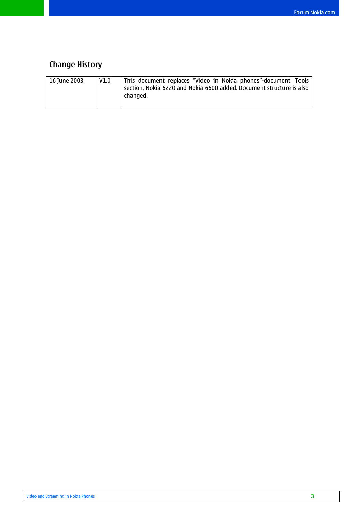# **Change History**

| 16 June 2003 | V1.0 | This document replaces "Video in Nokia phones"-document. Tools<br>section, Nokia 6220 and Nokia 6600 added. Document structure is also |
|--------------|------|----------------------------------------------------------------------------------------------------------------------------------------|
|              |      | changed.                                                                                                                               |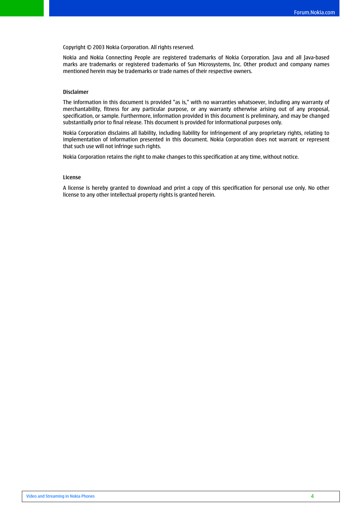#### Copyright © 2003 Nokia Corporation. All rights reserved.

Nokia and Nokia Connecting People are registered trademarks of Nokia Corporation. Java and all Java-based marks are trademarks or registered trademarks of Sun Microsystems, Inc. Other product and company names mentioned herein may be trademarks or trade names of their respective owners.

#### **Disclaimer**

The information in this document is provided "as is," with no warranties whatsoever, including any warranty of merchantability, fitness for any particular purpose, or any warranty otherwise arising out of any proposal, specification, or sample. Furthermore, information provided in this document is preliminary, and may be changed substantially prior to final release. This document is provided for informational purposes only.

Nokia Corporation disclaims all liability, including liability for infringement of any proprietary rights, relating to implementation of information presented in this document. Nokia Corporation does not warrant or represent that such use will not infringe such rights.

Nokia Corporation retains the right to make changes to this specification at any time, without notice.

#### **License**

A license is hereby granted to download and print a copy of this specification for personal use only. No other license to any other intellectual property rights is granted herein.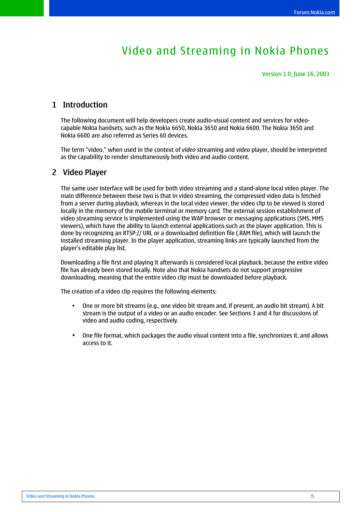# Video and Streaming in Nokia Phones

Version 1.0; June 16, 2003

# <span id="page-4-0"></span>**1 Introduction**

The following document will help developers create audio-visual content and services for videocapable Nokia handsets, such as the Nokia 6650, Nokia 3650 and Nokia 6600. The Nokia 3650 and Nokia 6600 are also referred as Series 60 devices.

The term "video," when used in the context of *video* streaming and *video* player, should be interpreted as the capability to render simultaneously both video and audio content.

## **2 Video Player**

The same user interface will be used for both video streaming and a stand-alone local video player. The main difference between these two is that in video streaming, the compressed video data is fetched from a server during playback, whereas in the local video viewer, the video clip to be viewed is stored locally in the memory of the mobile terminal or memory card. The external session establishment of video streaming service is implemented using the WAP browser or messaging applications (SMS, MMS viewers), which have the ability to launch external applications such as the player application. This is done by recognizing an RTSP:// URL or a downloaded definition file (.RAM file), which will launch the installed streaming player. In the player application, streaming links are typically launched from the player's editable play list.

Downloading a file first and playing it afterwards is considered local playback, because the entire video file has already been stored locally. Note also that Nokia handsets do not support progressive downloading, meaning that the entire video clip must be downloaded before playback.

The creation of a video clip requires the following elements:

- One or more bit streams (e.g., one video bit stream and, if present, an audio bit stream). A bit stream is the output of a video or an audio encoder. See Sections 3 and 4 for discussions of video and audio coding, respectively.
- One file format, which packages the audio visual content into a file, synchronizes it, and allows access to it.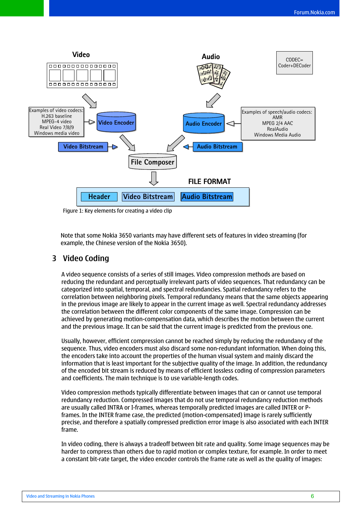<span id="page-5-0"></span>

Figure 1: Key elements for creating a video clip

Note that some Nokia 3650 variants may have different sets of features in video streaming (for example, the Chinese version of the Nokia 3650).

# **3 Video Coding**

A video sequence consists of a series of still images. Video compression methods are based on reducing the redundant and perceptually irrelevant parts of video sequences. That redundancy can be categorized into spatial, temporal, and spectral redundancies. Spatial redundancy refers to the correlation between neighboring pixels. Temporal redundancy means that the same objects appearing in the previous image are likely to appear in the current image as well. Spectral redundancy addresses the correlation between the different color components of the same image. Compression can be achieved by generating motion-compensation data, which describes the motion between the current and the previous image. It can be said that the current image is predicted from the previous one.

Usually, however, efficient compression cannot be reached simply by reducing the redundancy of the sequence. Thus, video encoders must also discard some non-redundant information. When doing this, the encoders take into account the properties of the human visual system and mainly discard the information that is least important for the subjective quality of the image. In addition, the redundancy of the encoded bit stream is reduced by means of efficient lossless coding of compression parameters and coefficients. The main technique is to use variable-length codes.

Video compression methods typically differentiate between images that can or cannot use temporal redundancy reduction. Compressed images that do not use temporal redundancy reduction methods are usually called INTRA or I-frames, whereas temporally predicted images are called INTER or Pframes. In the INTER frame case, the predicted (motion-compensated) image is rarely sufficiently precise, and therefore a spatially compressed prediction error image is also associated with each INTER frame.

In video coding, there is always a tradeoff between bit rate and quality. Some image sequences may be harder to compress than others due to rapid motion or complex texture, for example. In order to meet a constant bit-rate target, the video encoder controls the frame rate as well as the quality of images: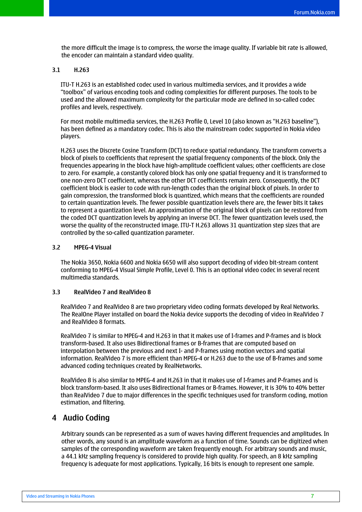<span id="page-6-0"></span>the more difficult the image is to compress, the worse the image quality. If variable bit rate is allowed, the encoder can maintain a standard video quality.

#### **3.1 H.263**

ITU-T H.263 is an established codec used in various multimedia services, and it provides a wide "toolbox" of various encoding tools and coding complexities for different purposes. The tools to be used and the allowed maximum complexity for the particular mode are defined in so-called codec profiles and levels, respectively.

For most mobile multimedia services, the H.263 Profile 0, Level 10 (also known as "H.263 baseline"), has been defined as a mandatory codec. This is also the mainstream codec supported in Nokia video players.

H.263 uses the Discrete Cosine Transform (DCT) to reduce spatial redundancy. The transform converts a block of pixels to coefficients that represent the spatial frequency components of the block. Only the frequencies appearing in the block have high-amplitude coefficient values; other coefficients are close to zero. For example, a constantly colored block has only one spatial frequency and it is transformed to one non-zero DCT coefficient, whereas the other DCT coefficients remain zero. Consequently, the DCT coefficient block is easier to code with run-length codes than the original block of pixels. In order to gain compression, the transformed block is quantized, which means that the coefficients are rounded to certain quantization levels. The fewer possible quantization levels there are, the fewer bits it takes to represent a quantization level. An approximation of the original block of pixels can be restored from the coded DCT quantization levels by applying an inverse DCT. The fewer quantization levels used, the worse the quality of the reconstructed image. ITU-T H.263 allows 31 quantization step sizes that are controlled by the so-called quantization parameter.

#### **3.2 MPEG-4 Visual**

The Nokia 3650, Nokia 6600 and Nokia 6650 will also support decoding of video bit-stream content conforming to MPEG-4 Visual Simple Profile, Level 0. This is an optional video codec in several recent multimedia standards.

#### **3.3 RealVideo 7 and RealVideo 8**

RealVideo 7 and RealVideo 8 are two proprietary video coding formats developed by Real Networks. The RealOne Player installed on board the Nokia device supports the decoding of video in RealVideo 7 and RealVideo 8 formats.

RealVideo 7 is similar to MPEG-4 and H.263 in that it makes use of I-frames and P-frames and is block transform-based. It also uses Bidirectional frames or B-frames that are computed based on interpolation between the previous and next I- and P-frames using motion vectors and spatial information. RealVideo 7 is more efficient than MPEG-4 or H.263 due to the use of B-frames and some advanced coding techniques created by RealNetworks.

RealVideo 8 is also similar to MPEG-4 and H.263 in that it makes use of I-frames and P-frames and is block transform-based. It also uses Bidirectional frames or B-frames. However, it is 30% to 40% better than RealVideo 7 due to major differences in the specific techniques used for transform coding, motion estimation, and filtering.

### **4 Audio Coding**

Arbitrary sounds can be represented as a sum of waves having different frequencies and amplitudes. In other words, any sound is an amplitude waveform as a function of time. Sounds can be digitized when samples of the corresponding waveform are taken frequently enough. For arbitrary sounds and music, a 44.1 kHz sampling frequency is considered to provide high quality. For speech, an 8 kHz sampling frequency is adequate for most applications. Typically, 16 bits is enough to represent one sample.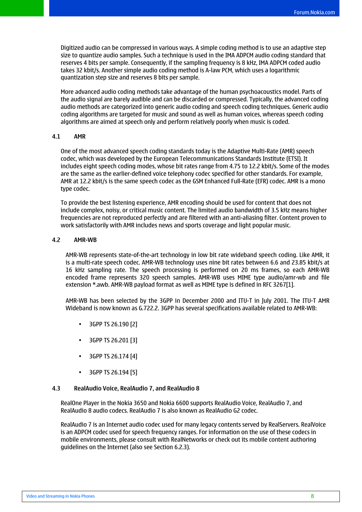<span id="page-7-0"></span>Digitized audio can be compressed in various ways. A simple coding method is to use an adaptive step size to quantize audio samples. Such a technique is used in the IMA ADPCM audio coding standard that reserves 4 bits per sample. Consequently, if the sampling frequency is 8 kHz, IMA ADPCM coded audio takes 32 kbit/s. Another simple audio coding method is A-law PCM, which uses a logarithmic quantization step size and reserves 8 bits per sample.

More advanced audio coding methods take advantage of the human psychoacoustics model. Parts of the audio signal are barely audible and can be discarded or compressed. Typically, the advanced coding audio methods are categorized into generic audio coding and speech coding techniques. Generic audio coding algorithms are targeted for music and sound as well as human voices, whereas speech coding algorithms are aimed at speech only and perform relatively poorly when music is coded.

#### **4.1 AMR**

One of the most advanced speech coding standards today is the Adaptive Multi-Rate (AMR) speech codec, which was developed by the European Telecommunications Standards Institute (ETSI). It includes eight speech coding modes, whose bit rates range from 4.75 to 12.2 kbit/s. Some of the modes are the same as the earlier-defined voice telephony codec specified for other standards. For example, AMR at 12.2 kbit/s is the same speech codec as the GSM Enhanced Full-Rate (EFR) codec. AMR is a mono type codec.

To provide the best listening experience, AMR encoding should be used for content that does not include complex, noisy, or critical music content. The limited audio bandwidth of 3.5 kHz means higher frequencies are not reproduced perfectly and are filtered with an anti-aliasing filter. Content proven to work satisfactorily with AMR includes news and sports coverage and light popular music.

#### **4.2 AMR-WB**

AMR-WB represents state-of-the-art technology in low bit rate wideband speech coding. Like AMR, it is a multi-rate speech codec. AMR-WB technology uses nine bit rates between 6.6 and 23.85 kbit/s at 16 kHz sampling rate. The speech processing is performed on 20 ms frames, so each AMR-WB encoded frame represents 320 speech samples. AMR-WB uses MIME type audio/amr-wb and file extension \*.awb. AMR-WB payload format as well as MIME type is defined in RFC 3267[1].

AMR-WB has been selected by the 3GPP in December 2000 and ITU-T in July 2001. The ITU-T AMR Wideband is now known as G.722.2. 3GPP has several specifications available related to AMR-WB:

- 3GPP TS 26.190 [2]
- 3GPP TS 26.201 [3]
- 3GPP TS 26.174 [4]
- 3GPP TS 26.194 [5]

#### **4.3 RealAudio Voice, RealAudio 7, and RealAudio 8**

RealOne Player in the Nokia 3650 and Nokia 6600 supports RealAudio Voice, RealAudio 7, and RealAudio 8 audio codecs. RealAudio 7 is also known as RealAudio G2 codec.

RealAudio 7 is an Internet audio codec used for many legacy contents served by RealServers. RealVoice is an ADPCM codec used for speech frequency ranges. For information on the use of these codecs in mobile environments, please consult with RealNetworks or check out its mobile content authoring guidelines on the Internet (also see Section 6.2.3).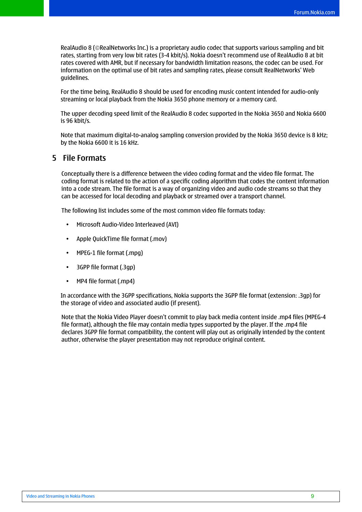<span id="page-8-0"></span>RealAudio 8 (©RealNetworks Inc.) is a proprietary audio codec that supports various sampling and bit rates, starting from very low bit rates (3-4 kbit/s). Nokia doesn't recommend use of RealAudio 8 at bit rates covered with AMR, but if necessary for bandwidth limitation reasons, the codec can be used. For information on the optimal use of bit rates and sampling rates, please consult RealNetworks' Web guidelines.

For the time being, RealAudio 8 should be used for encoding music content intended for audio-only streaming or local playback from the Nokia 3650 phone memory or a memory card.

The upper decoding speed limit of the RealAudio 8 codec supported in the Nokia 3650 and Nokia 6600 is 96 kbit/s.

Note that maximum digital-to-analog sampling conversion provided by the Nokia 3650 device is 8 kHz; by the Nokia 6600 it is 16 kHz.

## **5 File Formats**

Conceptually there is a difference between the video coding format and the video file format. The coding format is related to the action of a specific coding algorithm that codes the content information into a code stream. The file format is a way of organizing video and audio code streams so that they can be accessed for local decoding and playback or streamed over a transport channel.

The following list includes some of the most common video file formats today:

- Microsoft Audio-Video Interleaved (AVI)
- Apple QuickTime file format (.mov)
- MPEG-1 file format (.mpg)
- 3GPP file format (.3gp)
- MP4 file format (.mp4)

In accordance with the 3GPP specifications, Nokia supports the 3GPP file format (extension: .3gp) for the storage of video and associated audio (if present).

Note that the Nokia Video Player doesn't commit to play back media content inside .mp4 files (MPEG-4 file format), although the file may contain media types supported by the player. If the .mp4 file declares 3GPP file format compatibility, the content will play out as originally intended by the content author, otherwise the player presentation may not reproduce original content.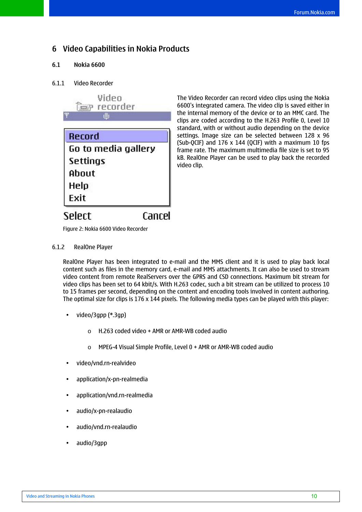# <span id="page-9-0"></span>**6 Video Capabilities in Nokia Products**

### **6.1 Nokia 6600**

### 6.1.1 Video Recorder



The Video Recorder can record video clips using the Nokia 6600's integrated camera. The video clip is saved either in the internal memory of the device or to an MMC card. The clips are coded according to the H.263 Profile 0, Level 10 standard, with or without audio depending on the device settings. Image size can be selected between 128 x 96 (Sub-QCIF) and 176 x 144 (QCIF) with a maximum 10 fps frame rate. The maximum multimedia file size is set to 95 kB. RealOne Player can be used to play back the recorded video clip.

Figure 2: Nokia 6600 Video Recorder

#### 6.1.2 RealOne Player

RealOne Player has been integrated to e-mail and the MMS client and it is used to play back local content such as files in the memory card, e-mail and MMS attachments. It can also be used to stream video content from remote RealServers over the GPRS and CSD connections. Maximum bit stream for video clips has been set to 64 kbit/s. With H.263 codec, such a bit stream can be utilized to process 10 to 15 frames per second, depending on the content and encoding tools involved in content authoring. The optimal size for clips is 176 x 144 pixels. The following media types can be played with this player:

- video/3gpp (\*.3gp)
	- $\circ$  H.263 coded video + AMR or AMR-WB coded audio
	- o MPEG-4 Visual Simple Profile, Level 0 + AMR or AMR-WB coded audio
- video/vnd.rn-realvideo
- application/x-pn-realmedia
- application/vnd.rn-realmedia
- audio/x-pn-realaudio
- audio/vnd.rn-realaudio
- audio/3gpp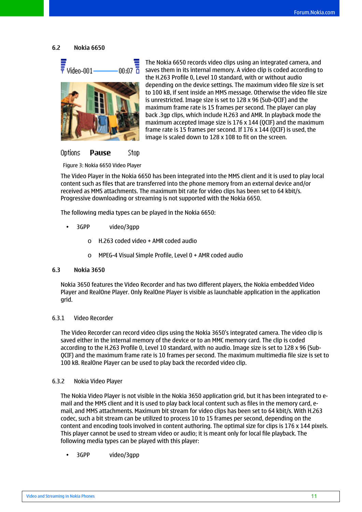<span id="page-10-0"></span>**6.2 Nokia 6650** 



The Nokia 6650 records video clips using an integrated camera, and saves them in its internal memory. A video clip is coded according to the H.263 Profile 0, Level 10 standard, with or without audio depending on the device settings. The maximum video file size is set to 100 kB, if sent inside an MMS message. Otherwise the video file size is unrestricted. Image size is set to 128 x 96 (Sub-QCIF) and the maximum frame rate is 15 frames per second. The player can play back .3gp clips, which include H.263 and AMR. In playback mode the maximum accepted image size is 176 x 144 (QCIF) and the maximum frame rate is 15 frames per second. If 176 x 144 (QCIF) is used, the image is scaled down to 128 x 108 to fit on the screen.

Options Pause Stop

Figure 3: Nokia 6650 Video Player

The Video Player in the Nokia 6650 has been integrated into the MMS client and it is used to play local content such as files that are transferred into the phone memory from an external device and/or received as MMS attachments. The maximum bit rate for video clips has been set to 64 kbit/s. Progressive downloading or streaming is not supported with the Nokia 6650.

The following media types can be played in the Nokia 6650:

- 3GPP video/3gpp
	- o H.263 coded video + AMR coded audio
	- o MPEG-4 Visual Simple Profile, Level 0 + AMR coded audio

#### **6.3 Nokia 3650**

Nokia 3650 features the Video Recorder and has two different players, the Nokia embedded Video Player and RealOne Player. Only RealOne Player is visible as launchable application in the application grid.

#### 6.3.1 Video Recorder

The Video Recorder can record video clips using the Nokia 3650's integrated camera. The video clip is saved either in the internal memory of the device or to an MMC memory card. The clip is coded according to the H.263 Profile 0, Level 10 standard, with no audio. Image size is set to 128 x 96 (Sub-QCIF) and the maximum frame rate is 10 frames per second. The maximum multimedia file size is set to 100 kB. RealOne Player can be used to play back the recorded video clip.

#### 6.3.2 Nokia Video Player

The Nokia Video Player is not visible in the Nokia 3650 application grid, but it has been integrated to email and the MMS client and it is used to play back local content such as files in the memory card, email, and MMS attachments. Maximum bit stream for video clips has been set to 64 kbit/s. With H.263 codec, such a bit stream can be utilized to process 10 to 15 frames per second, depending on the content and encoding tools involved in content authoring. The optimal size for clips is 176 x 144 pixels. This player cannot be used to stream video or audio; it is meant only for local file playback. The following media types can be played with this player:

• 3GPP video/3gpp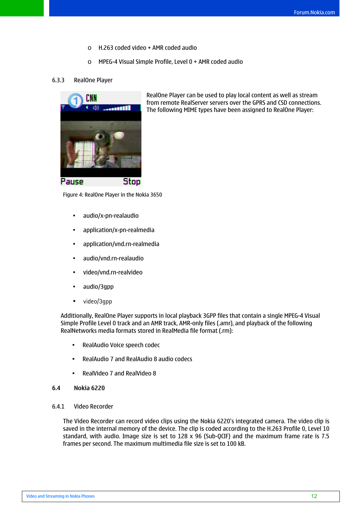- o H.263 coded video + AMR coded audio
- o MPEG-4 Visual Simple Profile, Level 0 + AMR coded audio

#### <span id="page-11-0"></span>6.3.3 RealOne Player



RealOne Player can be used to play local content as well as stream from remote RealServer servers over the GPRS and CSD connections. The following MIME types have been assigned to RealOne Player:

Figure 4: RealOne Player in the Nokia 3650

- audio/x-pn-realaudio
- application/x-pn-realmedia
- application/vnd.rn-realmedia
- audio/vnd.rn-realaudio
- video/vnd.rn-realvideo
- audio/3gpp
- video/3gpp

Additionally, RealOne Player supports in local playback 3GPP files that contain a single MPEG-4 Visual Simple Profile Level 0 track and an AMR track, AMR-only files (.amr), and playback of the following RealNetworks media formats stored in RealMedia file format (.rm):

- RealAudio Voice speech codec
- RealAudio 7 and RealAudio 8 audio codecs
- RealVideo 7 and RealVideo 8
- **6.4 Nokia 6220**

#### 6.4.1 Video Recorder

The Video Recorder can record video clips using the Nokia 6220's integrated camera. The video clip is saved in the internal memory of the device. The clip is coded according to the H.263 Profile 0, Level 10 standard, with audio. Image size is set to 128 x 96 (Sub-QCIF) and the maximum frame rate is 7.5 frames per second. The maximum multimedia file size is set to 100 kB.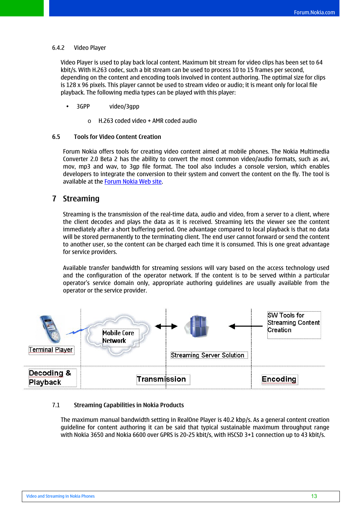#### <span id="page-12-0"></span>6.4.2 Video Player

Video Player is used to play back local content. Maximum bit stream for video clips has been set to 64 kbit/s. With H.263 codec, such a bit stream can be used to process 10 to 15 frames per second, depending on the content and encoding tools involved in content authoring. The optimal size for clips is 128 x 96 pixels. This player cannot be used to stream video or audio; it is meant only for local file playback. The following media types can be played with this player:

- 3GPP video/3gpp
	- o H.263 coded video + AMR coded audio

#### **6.5 Tools for Video Content Creation**

Forum Nokia offers tools for creating video content aimed at mobile phones. The Nokia Multimedia Converter 2.0 Beta 2 has the ability to convert the most common video/audio formats, such as avi, mov, mp3 and wav, to 3gp file format. The tool also includes a console version, which enables developers to integrate the conversion to their system and convert the content on the fly. The tool is available at the [Forum Nokia Web site.](http://www.forum.nokia.com/main/1,6566,030,00.html?fsrParam=2-3-/main/1,6566,030,00.html&fileID=2998)

### **7 Streaming**

Streaming is the transmission of the real-time data, audio and video, from a server to a client, where the client decodes and plays the data as it is received. Streaming lets the viewer see the content immediately after a short buffering period. One advantage compared to local playback is that no data will be stored permanently to the terminating client. The end user cannot forward or send the content to another user, so the content can be charged each time it is consumed. This is one great advantage for service providers.

Available transfer bandwidth for streaming sessions will vary based on the access technology used and the configuration of the operator network. If the content is to be served within a particular operator's service domain only, appropriate authoring guidelines are usually available from the operator or the service provider.



#### 7.1 **Streaming Capabilities in Nokia Products**

The maximum manual bandwidth setting in RealOne Player is 40.2 kbp/s. As a general content creation guideline for content authoring it can be said that typical sustainable maximum throughput range with Nokia 3650 and Nokia 6600 over GPRS is 20-25 kbit/s, with HSCSD 3+1 connection up to 43 kbit/s.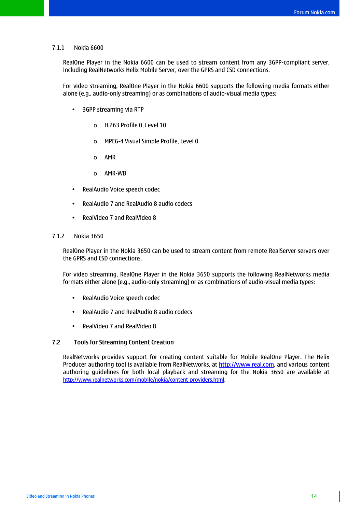#### <span id="page-13-0"></span>7.1.1 Nokia 6600

RealOne Player in the Nokia 6600 can be used to stream content from any 3GPP-compliant server, including RealNetworks Helix Mobile Server, over the GPRS and CSD connections.

For video streaming, RealOne Player in the Nokia 6600 supports the following media formats either alone (e.g., audio-only streaming) or as combinations of audio-visual media types:

- 3GPP streaming via RTP
	- o H.263 Profile 0, Level 10
	- o MPEG-4 Visual Simple Profile, Level 0
	- o AMR
	- o AMR-WB
- RealAudio Voice speech codec
- RealAudio 7 and RealAudio 8 audio codecs
- RealVideo 7 and RealVideo 8

#### 7.1.2 Nokia 3650

RealOne Player in the Nokia 3650 can be used to stream content from remote RealServer servers over the GPRS and CSD connections.

For video streaming, RealOne Player in the Nokia 3650 supports the following RealNetworks media formats either alone (e.g., audio-only streaming) or as combinations of audio-visual media types:

- RealAudio Voice speech codec
- RealAudio 7 and RealAudio 8 audio codecs
- RealVideo 7 and RealVideo 8

#### **7.2 Tools for Streaming Content Creation**

RealNetworks provides support for creating content suitable for Mobile RealOne Player. The Helix Producer authoring tool is available from RealNetworks, at [http://www.real.com](http://www.real.com/), and various content authoring guidelines for both local playback and streaming for the Nokia 3650 are available at [http://www.realnetworks.com/mobile/nokia/content\\_providers.html.](http://www.realnetworks.com/mobile/nokia/content_providers.html)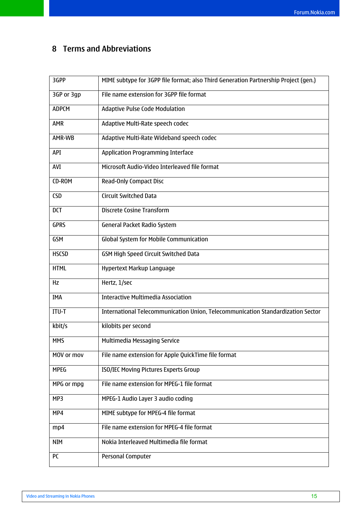# <span id="page-14-0"></span>**8 Terms and Abbreviations**

| 3GPP         | MIME subtype for 3GPP file format; also Third Generation Partnership Project (gen.) |
|--------------|-------------------------------------------------------------------------------------|
| 3GP or 3gp   | File name extension for 3GPP file format                                            |
| <b>ADPCM</b> | <b>Adaptive Pulse Code Modulation</b>                                               |
| <b>AMR</b>   | Adaptive Multi-Rate speech codec                                                    |
| AMR-WB       | Adaptive Multi-Rate Wideband speech codec                                           |
| API          | <b>Application Programming Interface</b>                                            |
| AVI          | Microsoft Audio-Video Interleaved file format                                       |
| CD-ROM       | <b>Read-Only Compact Disc</b>                                                       |
| <b>CSD</b>   | <b>Circuit Switched Data</b>                                                        |
| <b>DCT</b>   | <b>Discrete Cosine Transform</b>                                                    |
| <b>GPRS</b>  | <b>General Packet Radio System</b>                                                  |
| <b>GSM</b>   | Global System for Mobile Communication                                              |
| <b>HSCSD</b> | GSM High Speed Circuit Switched Data                                                |
| <b>HTML</b>  | Hypertext Markup Language                                                           |
| Hz           | Hertz, 1/sec                                                                        |
| IMA          | <b>Interactive Multimedia Association</b>                                           |
| ITU-T        | International Telecommunication Union, Telecommunication Standardization Sector     |
| kbit/s       | kilobits per second                                                                 |
| <b>MMS</b>   | Multimedia Messaging Service                                                        |
| MOV or mov   | File name extension for Apple QuickTime file format                                 |
| <b>MPEG</b>  | ISO/IEC Moving Pictures Experts Group                                               |
| MPG or mpg   | File name extension for MPEG-1 file format                                          |
| MP3          | MPEG-1 Audio Layer 3 audio coding                                                   |
| MP4          | MIME subtype for MPEG-4 file format                                                 |
| mp4          | File name extension for MPEG-4 file format                                          |
| <b>NIM</b>   | Nokia Interleaved Multimedia file format                                            |
| PC           | Personal Computer                                                                   |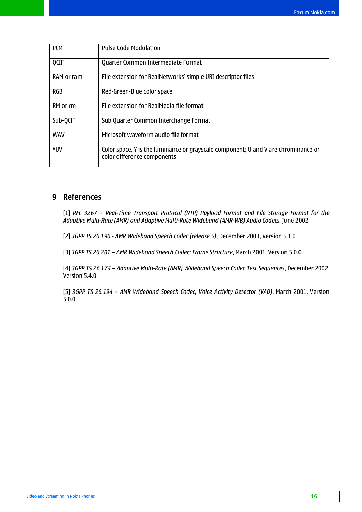<span id="page-15-0"></span>

| <b>PCM</b> | <b>Pulse Code Modulation</b>                                                                                      |
|------------|-------------------------------------------------------------------------------------------------------------------|
| QCIF       | Quarter Common Intermediate Format                                                                                |
| RAM or ram | File extension for RealNetworks' simple URI descriptor files                                                      |
| <b>RGB</b> | Red-Green-Blue color space                                                                                        |
| RM or rm   | File extension for RealMedia file format                                                                          |
| Sub-QCIF   | Sub Quarter Common Interchange Format                                                                             |
| <b>WAV</b> | Microsoft waveform audio file format                                                                              |
| <b>YUV</b> | Color space, Y is the luminance or grayscale component; U and V are chrominance or<br>color difference components |

# **9 References**

[1] *RFC 3267 – Real-Time Transport Protocol (RTP) Payload Format and File Storage Format for the Adaptive Multi-Rate (AMR) and Adaptive Multi-Rate Wideband (AMR-WB) Audio Codecs*, June 2002

[2] *3GPP TS 26.190 - AMR Wideband Speech Codec (release 5)*, December 2001, Version 5.1.0

[3] *3GPP TS 26.201 – AMR Wideband Speech Codec; Frame Structure*, March 2001, Version 5.0.0

[4] *3GPP TS 26.174 – Adaptive Multi-Rate (AMR) Wideband Speech Codec Test Sequences*, December 2002, Version 5.4.0

[5] *3GPP TS 26.194 – AMR Wideband Speech Codec; Voice Activity Detector (VAD)*, March 2001, Version 5.0.0